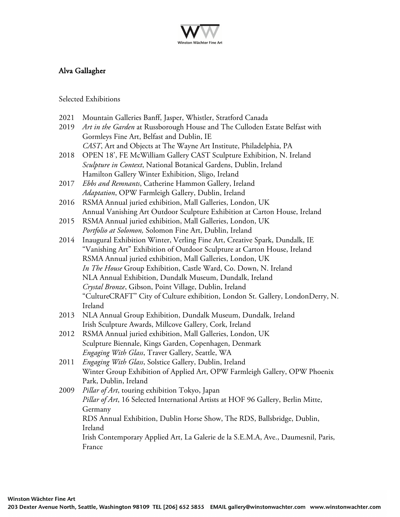

## Alva Gallagher

Selected Exhibitions

- 2021 Mountain Galleries Banff, Jasper, Whistler, Stratford Canada
- 2019 *Art in the Garden* at Russborough House and The Culloden Estate Belfast with Gormleys Fine Art, Belfast and Dublin, IE *CAST*, Art and Objects at The Wayne Art Institute, Philadelphia, PA
- 2018 OPEN 18', FE McWilliam Gallery CAST Sculpture Exhibition, N. Ireland *Sculpture in Context*, National Botanical Gardens, Dublin, Ireland Hamilton Gallery Winter Exhibition, Sligo, Ireland
- 2017 *Ebbs and Remnants*, Catherine Hammon Gallery, Ireland *Adaptation*, OPW Farmleigh Gallery, Dublin, Ireland
- 2016 RSMA Annual juried exhibition, Mall Galleries, London, UK Annual Vanishing Art Outdoor Sculpture Exhibition at Carton House, Ireland
- 2015 RSMA Annual juried exhibition, Mall Galleries, London, UK *Portfolio at Solomon,* Solomon Fine Art, Dublin, Ireland
- 2014 Inaugural Exhibition Winter, Verling Fine Art, Creative Spark, Dundalk, IE "Vanishing Art" Exhibition of Outdoor Sculpture at Carton House, Ireland RSMA Annual juried exhibition, Mall Galleries, London, UK *In The House* Group Exhibition, Castle Ward, Co. Down, N. Ireland NLA Annual Exhibition, Dundalk Museum, Dundalk, Ireland *Crystal Bronze*, Gibson, Point Village, Dublin, Ireland "CultureCRAFT" City of Culture exhibition, London St. Gallery, LondonDerry, N. Ireland
- 2013 NLA Annual Group Exhibition, Dundalk Museum, Dundalk, Ireland Irish Sculpture Awards, Millcove Gallery, Cork, Ireland
- 2012 RSMA Annual juried exhibition, Mall Galleries, London, UK Sculpture Biennale, Kings Garden, Copenhagen, Denmark *Engaging With Glass*, Traver Gallery, Seattle, WA
- 2011 *Engaging With Glass*, Solstice Gallery, Dublin, Ireland Winter Group Exhibition of Applied Art, OPW Farmleigh Gallery, OPW Phoenix Park, Dublin, Ireland
- 2009 *Pillar of Art*, touring exhibition Tokyo, Japan *Pillar of Art*, 16 Selected International Artists at HOF 96 Gallery, Berlin Mitte, Germany RDS Annual Exhibition, Dublin Horse Show, The RDS, Ballsbridge, Dublin, Ireland Irish Contemporary Applied Art, La Galerie de la S.E.M.A, Ave., Daumesnil, Paris, France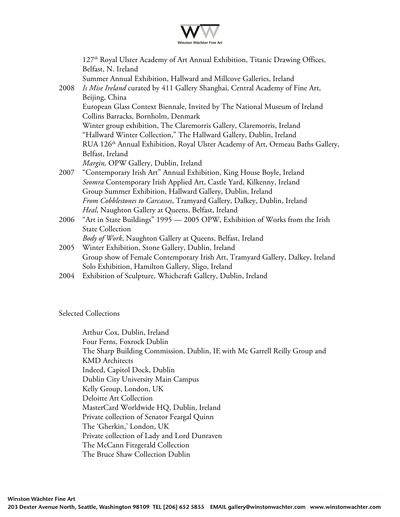

|      | 127 <sup>th</sup> Royal Ulster Academy of Art Annual Exhibition, Titanic Drawing Offices,   |
|------|---------------------------------------------------------------------------------------------|
|      | Belfast, N. Ireland                                                                         |
|      | Summer Annual Exhibition, Hallward and Millcove Galleries, Ireland                          |
| 2008 | Is Mise Ireland curated by 411 Gallery Shanghai, Central Academy of Fine Art,               |
|      | Beijing, China                                                                              |
|      | European Glass Context Biennale, Invited by The National Museum of Ireland                  |
|      | Collins Barracks, Bornholm, Denmark                                                         |
|      | Winter group exhibition, The Claremorris Gallery, Claremorris, Ireland                      |
|      | "Hallward Winter Collection," The Hallward Gallery, Dublin, Ireland                         |
|      | RUA 126 <sup>th</sup> Annual Exhibition, Royal Ulster Academy of Art, Ormeau Baths Gallery, |
|      | Belfast, Ireland                                                                            |
|      | Margin, OPW Gallery, Dublin, Ireland                                                        |
| 2007 | "Contemporary Irish Art" Annual Exhibition, King House Boyle, Ireland                       |
|      | Seomra Contemporary Irish Applied Art, Castle Yard, Kilkenny, Ireland                       |
|      | Group Summer Exhibition, Hallward Gallery, Dublin, Ireland                                  |
|      | From Cobblestones to Carcasses, Tramyard Gallery, Dalkey, Dublin, Ireland                   |
|      | Heal, Naughton Gallery at Queens, Belfast, Ireland                                          |
| 2006 | "Art in State Buildings" 1995 - 2005 OPW, Exhibition of Works from the Irish                |
|      | <b>State Collection</b>                                                                     |
|      | Body of Work, Naughton Gallery at Queens, Belfast, Ireland                                  |
| 2005 | Winter Exhibition, Stone Gallery, Dublin, Ireland                                           |
|      | Group show of Female Contemporary Irish Art, Tramyard Gallery, Dalkey, Ireland              |
|      | Solo Exhibition, Hamilton Gallery, Sligo, Ireland                                           |
| 2004 | Exhibition of Sculpture, Whichcraft Gallery, Dublin, Ireland                                |
|      |                                                                                             |

Selected Collections

Arthur Cox, Dublin, Ireland Four Ferns, Foxrock Dublin The Sharp Building Commission, Dublin, IE with Mc Garrell Reilly Group and KMD Architects Indeed, Capitol Dock, Dublin Dublin City University Main Campus Kelly Group, London, UK Deloitte Art Collection MasterCard Worldwide HQ, Dublin, Ireland Private collection of Senator Feargal Quinn The 'Gherkin,' London, UK Private collection of Lady and Lord Dunraven The McCann Fitzgerald Collection The Bruce Shaw Collection Dublin